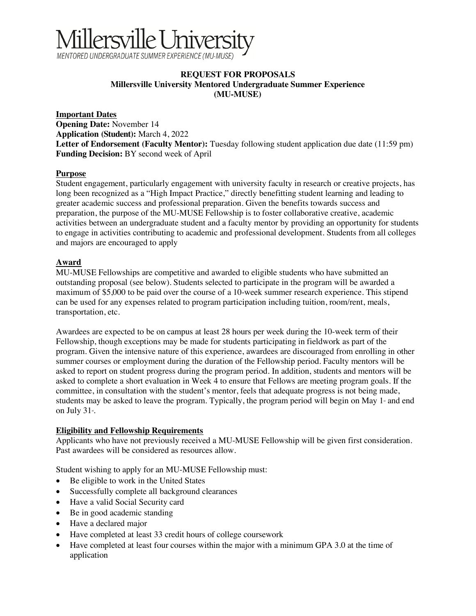# <u> Iillersville University</u> MENTORED UNDERGRADUATE SUMMER EXPERIENCE (MU-MUSE

#### **REQUEST FOR PROPOSALS Millersville University Mentored Undergraduate Summer Experience (MU-MUSE)**

#### **Important Dates**

**Opening Date:** November 14 **Application (Student):** March 4, 2022 **Letter of Endorsement (Faculty Mentor):** Tuesday following student application due date (11:59 pm) **Funding Decision:** BY second week of April

## **Purpose**

Student engagement, particularly engagement with university faculty in research or creative projects, has long been recognized as a "High Impact Practice," directly benefitting student learning and leading to greater academic success and professional preparation. Given the benefits towards success and preparation, the purpose of the MU-MUSE Fellowship is to foster collaborative creative, academic activities between an undergraduate student and a faculty mentor by providing an opportunity for students to engage in activities contributing to academic and professional development. Students from all colleges and majors are encouraged to apply

## **Award**

MU-MUSE Fellowships are competitive and awarded to eligible students who have submitted an outstanding proposal (see below). Students selected to participate in the program will be awarded a maximum of \$5,000 to be paid over the course of a 10-week summer research experience. This stipend can be used for any expenses related to program participation including tuition, room/rent, meals, transportation, etc.

Awardees are expected to be on campus at least 28 hours per week during the 10-week term of their Fellowship, though exceptions may be made for students participating in fieldwork as part of the program. Given the intensive nature of this experience, awardees are discouraged from enrolling in other summer courses or employment during the duration of the Fellowship period. Faculty mentors will be asked to report on student progress during the program period. In addition, students and mentors will be asked to complete a short evaluation in Week 4 to ensure that Fellows are meeting program goals. If the committee, in consultation with the student's mentor, feels that adequate progress is not being made, students may be asked to leave the program. Typically, the program period will begin on May  $1<sup>s</sup>$  and end on July 31<sub>st</sub>.

#### **Eligibility and Fellowship Requirements**

Applicants who have not previously received a MU-MUSE Fellowship will be given first consideration. Past awardees will be considered as resources allow.

Student wishing to apply for an MU-MUSE Fellowship must:

- Be eligible to work in the United States
- Successfully complete all background clearances
- Have a valid Social Security card
- Be in good academic standing
- Have a declared major
- Have completed at least 33 credit hours of college coursework
- Have completed at least four courses within the major with a minimum GPA 3.0 at the time of application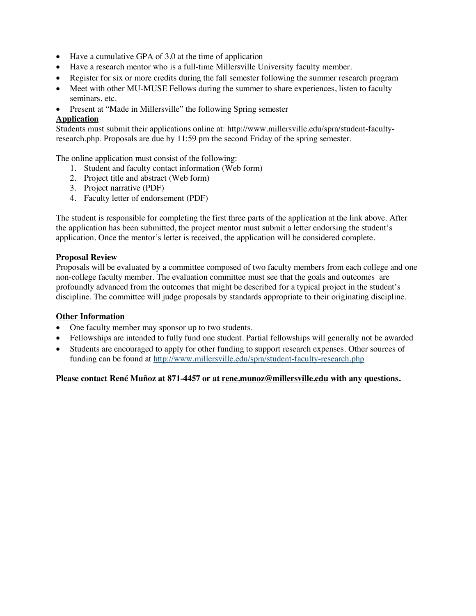- Have a cumulative GPA of 3.0 at the time of application
- Have a research mentor who is a full-time Millersville University faculty member.
- Register for six or more credits during the fall semester following the summer research program
- Meet with other MU-MUSE Fellows during the summer to share experiences, listen to faculty seminars, etc.
- Present at "Made in Millersville" the following Spring semester

## **Application**

Students must submit their applications online at: http://www.millersville.edu/spra/student-facultyresearch.php. Proposals are due by 11:59 pm the second Friday of the spring semester.

The online application must consist of the following:

- 1. Student and faculty contact information (Web form)
- 2. Project title and abstract (Web form)
- 3. Project narrative (PDF)
- 4. Faculty letter of endorsement (PDF)

The student is responsible for completing the first three parts of the application at the link above. After the application has been submitted, the project mentor must submit a letter endorsing the student's application. Once the mentor's letter is received, the application will be considered complete.

#### **Proposal Review**

Proposals will be evaluated by a committee composed of two faculty members from each college and one non-college faculty member. The evaluation committee must see that the goals and outcomes are profoundly advanced from the outcomes that might be described for a typical project in the student's discipline. The committee will judge proposals by standards appropriate to their originating discipline.

#### **Other Information**

- One faculty member may sponsor up to two students.
- Fellowships are intended to fully fund one student. Partial fellowships will generally not be awarded
- Students are encouraged to apply for other funding to support research expenses. Other sources of funding can be found at http://www.millersville.edu/spra/student-faculty-research.php

**Please contact René Muñoz at 871-4457 or at rene.munoz@millersville.edu with any questions.**